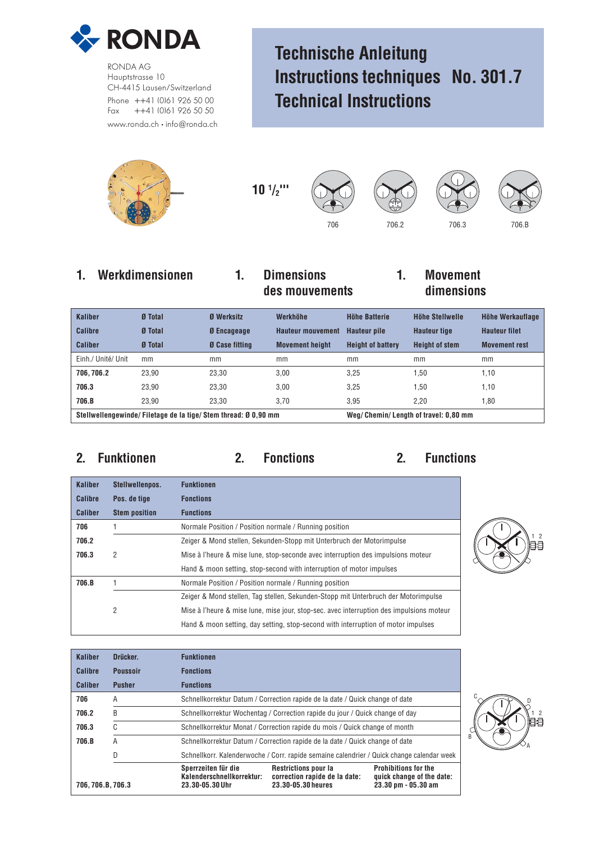

RONDA AG Hauptstrasse 10 CH-4415 Lausen/Switzerland Phone ++41 (0)61 926 50 00 Fax ++41 (0)61 926 50 50 www.ronda.ch • info@ronda.ch

# **Technische Anleitung Instructions techniques No. 301.7 Technical Instructions**



**10 1 /2'''**







## **1. Werkdimensionen 1. Dimensions 1. Movement des mouvements dimensions**

# **Kaliber Ø Total Ø Werksitz Werkhöhe Höhe Batterie Höhe Stellwelle Höhe Werkauflage Calibre Ø Total Ø Encageage Hauteur mouvement Hauteur pile Hauteur tige Hauteur filet Caliber Ø Total Ø Case fitting Movement height Height of battery Height of stem Movement rest** Einh./ Unité/ Unit mm mm mm mm mm mm **706, 706.2** 23,90 23,30 3,00 3,25 1,50 1,10 **706.3** 23,90 23,30 3,00 3,25 1,50 1,10 **706.B** 23,90 23,30 3,70 3,95 2,20 1,80

**Stellwellengewinde/ Filetage de la tige/ Stem thread: Ø 0,90 mm Weg/ Chemin/ Length of travel: 0,80 mm**

**2. Funktionen 2. Fonctions 2. Functions**

| <b>Kaliber</b> | Stellwellenpos.      | <b>Funktionen</b>                                                                        |
|----------------|----------------------|------------------------------------------------------------------------------------------|
| Calibre        | Pos. de tige         | <b>Fonctions</b>                                                                         |
| <b>Caliber</b> | <b>Stem position</b> | <b>Functions</b>                                                                         |
| 706            |                      | Normale Position / Position normale / Running position                                   |
| 706.2          |                      | Zeiger & Mond stellen, Sekunden-Stopp mit Unterbruch der Motorimpulse                    |
| 706.3          | 2                    | Mise à l'heure & mise lune, stop-seconde avec interruption des impulsions moteur         |
|                |                      | Hand & moon setting, stop-second with interruption of motor impulses                     |
| 706.B          |                      | Normale Position / Position normale / Running position                                   |
|                |                      | Zeiger & Mond stellen, Tag stellen, Sekunden-Stopp mit Unterbruch der Motorimpulse       |
|                | 2                    | Mise à l'heure & mise lune, mise jour, stop-sec. avec interruption des impulsions moteur |
|                |                      | Hand & moon setting, day setting, stop-second with interruption of motor impulses        |



| Kaliber         | Drücker.        | <b>Funktionen</b>                                                                         |                                                                                    |                                                                                 |  |  |  |  |  |
|-----------------|-----------------|-------------------------------------------------------------------------------------------|------------------------------------------------------------------------------------|---------------------------------------------------------------------------------|--|--|--|--|--|
| Calibre         | <b>Poussoir</b> | <b>Fonctions</b>                                                                          |                                                                                    |                                                                                 |  |  |  |  |  |
| <b>Caliber</b>  | <b>Pusher</b>   | <b>Functions</b>                                                                          |                                                                                    |                                                                                 |  |  |  |  |  |
| 706             | A               |                                                                                           | Schnellkorrektur Datum / Correction rapide de la date / Quick change of date       |                                                                                 |  |  |  |  |  |
| 706.2           | B               |                                                                                           | Schnellkorrektur Wochentag / Correction rapide du jour / Quick change of day       |                                                                                 |  |  |  |  |  |
| 706.3           | C               |                                                                                           | Schnellkorrektur Monat / Correction rapide du mois / Quick change of month         |                                                                                 |  |  |  |  |  |
| 706.B           | Α               |                                                                                           | Schnellkorrektur Datum / Correction rapide de la date / Quick change of date       |                                                                                 |  |  |  |  |  |
|                 | D               | Schnellkorr. Kalenderwoche / Corr. rapide semaine calendrier / Quick change calendar week |                                                                                    |                                                                                 |  |  |  |  |  |
| 706.706.B.706.3 |                 | Sperrzeiten für die<br>Kalenderschnellkorrektur:<br>23.30-05.30 Uhr                       | <b>Restrictions pour la</b><br>correction rapide de la date:<br>23.30-05.30 heures | <b>Prohibitions for the</b><br>quick change of the date:<br>23.30 pm - 05.30 am |  |  |  |  |  |

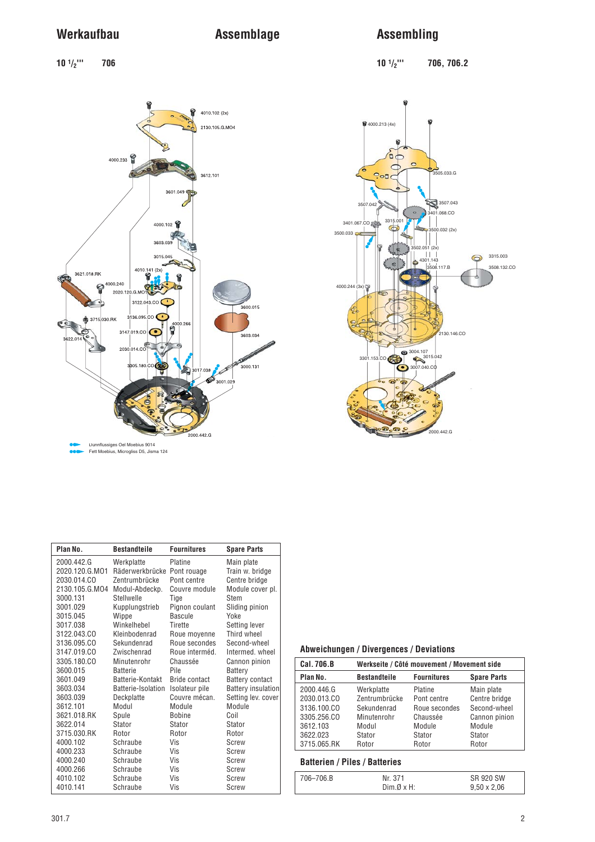# **Werkaufbau Assemblage Assembling**

**10 1/2''' 706 10 1/2''' 706, 706.2**



| Plan No.       | <b>Bestandteile</b> | <b>Fournitures</b>   | <b>Spare Parts</b>        |
|----------------|---------------------|----------------------|---------------------------|
| 2000.442.G     | Werkplatte          | Platine              | Main plate                |
| 2020.120.G.MO1 | Räderwerkbrücke     | Pont rouage          | Train w. bridge           |
| 2030.014.CO    | Zentrumbrücke       | Pont centre          | Centre bridge             |
| 2130.105.G.MO4 | Modul-Abdeckp.      | Couvre module        | Module cover pl.          |
| 3000.131       | Stellwelle          | Tige                 | Stem                      |
| 3001.029       | Kupplungstrieb      | Pignon coulant       | Sliding pinion            |
| 3015.045       | Wippe               | Bascule              | Yoke                      |
| 3017.038       | Winkelhebel         | Tirette              | Setting lever             |
| 3122.043.CO    | Kleinbodenrad       | Roue moyenne         | Third wheel               |
| 3136.095.CO    | Sekundenrad         | Roue secondes        | Second-wheel              |
| 3147.019.CO    | Zwischenrad         | Roue interméd.       | Intermed, wheel           |
| 3305.180.CO    | Minutenrohr         | Chaussée             | Cannon pinion             |
| 3600.015       | <b>Batterie</b>     | Pile                 | Battery                   |
| 3601.049       | Batterie-Kontakt    | <b>Bride contact</b> | <b>Battery contact</b>    |
| 3603.034       | Batterie-Isolation  | Isolateur pile       | <b>Battery insulation</b> |
| 3603.039       | Deckplatte          | Couvre mécan.        | Setting lev. cover        |
| 3612.101       | Modul               | Module               | Module                    |
| 3621.018.RK    | Spule               | <b>Bobine</b>        | Coil                      |
| 3622.014       | Stator              | Stator               | Stator                    |
| 3715.030.RK    | Rotor               | Rotor                | Rotor                     |
| 4000.102       | Schraube            | Vis                  | Screw                     |
| 4000.233       | Schraube            | Vis                  | Screw                     |
| 4000.240       | Schraube            | Vis                  | Screw                     |
| 4000.266       | Schraube            | Vis                  | Screw                     |
| 4010.102       | Schraube            | Vis                  | Screw                     |
| 4010.141       | Schraube            | Vis                  | <b>Screw</b>              |

### **Abweichungen / Divergences / Deviations**

| Cal. 706.B  | Werkseite / Côté mouvement / Movement side                      |               |               |  |  |  |  |
|-------------|-----------------------------------------------------------------|---------------|---------------|--|--|--|--|
| Plan No.    | <b>Bestandteile</b><br><b>Fournitures</b><br><b>Spare Parts</b> |               |               |  |  |  |  |
| 2000.446.G  | Werkplatte                                                      | Platine       | Main plate    |  |  |  |  |
| 2030.013.CO | Zentrumbrücke                                                   | Pont centre   | Centre bridge |  |  |  |  |
| 3136.100.CO | Sekundenrad                                                     | Roue secondes | Second-wheel  |  |  |  |  |
| 3305.256.CO | Minutenrohr                                                     | Chaussée      | Cannon pinion |  |  |  |  |
| 3612.103    | Modul                                                           | Module        | Module        |  |  |  |  |
| 3622.023    | Stator                                                          | Stator        | Stator        |  |  |  |  |
| 3715.065.RK | Rotor                                                           | Rotor         | Rotor         |  |  |  |  |

### **Batterien / Piles / Batteries**

| 706–706.B | Nr. 371  | SR 920 SW          |
|-----------|----------|--------------------|
|           | Dim.ØxH: | $9,50 \times 2,06$ |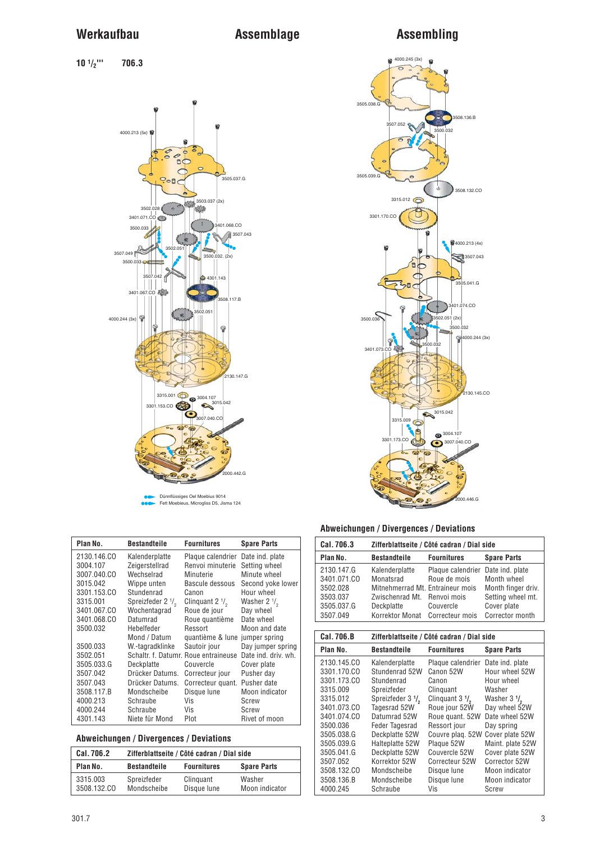**10 1/2''' 706.3**



Dünnflüssiges Oel Moebius 9014 Fett Moebieus, Microgliss D5, Jisma 124

| Plan No.    | <b>Bestandteile</b>           | <b>Fournitures</b>                   | <b>Spare Parts</b>     |
|-------------|-------------------------------|--------------------------------------|------------------------|
| 2130.146.CO | Kalenderplatte                | Plaque calendrier Date ind. plate    |                        |
| 3004.107    | Zeigerstellrad                | Renvoi minuterie                     | Setting wheel          |
| 3007.040.CO | Wechselrad                    | Minuterie                            | Minute wheel           |
| 3015.042    | Wippe unten                   | Bascule dessous                      | Second yoke lower      |
| 3301.153.CO | Stundenrad                    | Canon                                | Hour wheel             |
| 3315.001    | Spreizfeder 2 1/ <sub>2</sub> | Clinguant $2\frac{1}{6}$             | Washer $2 \frac{1}{2}$ |
| 3401.067.CO | Wochentagrad                  | Roue de jour                         | Day wheel              |
| 3401.068.CO | Datumrad                      | Roue quantième                       | Date wheel             |
| 3500.032    | Hebelfeder                    | Ressort                              | Moon and date          |
|             | Mond / Datum                  | quantième & lune jumper spring       |                        |
| 3500.033    | W.-tagradklinke               | Sautoir jour                         | Day jumper spring      |
| 3502.051    |                               | Schaltr. f. Datumr. Roue entraineuse | Date ind. driv. wh.    |
| 3505.033.G  | Deckplatte                    | Couvercle                            | Cover plate            |
| 3507.042    | Drücker Datums.               | Correcteur jour                      | Pusher day             |
| 3507.043    | Drücker Datums.               | Correcteur quant. Pusher date        |                        |
| 3508.117.B  | Mondscheibe                   | Disque lune                          | Moon indicator         |
| 4000.213    | Schraube                      | Vis                                  | Screw                  |
| 4000.244    | Schraube                      | Vis                                  | Screw                  |
| 4301.143    | Niete für Mond                | Plot                                 | Rivet of moon          |

### **Abweichungen / Divergences / Deviations**

| Cal. 706.2              |                            | Zifferblattseite / Côté cadran / Dial side |                          |  |  |  |  |  |
|-------------------------|----------------------------|--------------------------------------------|--------------------------|--|--|--|--|--|
| Plan No.                | <b>Bestandteile</b>        | <b>Fournitures</b>                         | <b>Spare Parts</b>       |  |  |  |  |  |
| 3315.003<br>3508.132.CO | Spreizfeder<br>Mondscheibe | Clinguant<br>Disque lune                   | Washer<br>Moon indicator |  |  |  |  |  |



### **Abweichungen / Divergences / Deviations**

| ADWEIGHUNGH / DIVENGHUES / DEVIAUUNS                                                                                                    |                                                                                                                                                                                       |                                                                                                                                                                                                         |                                                                                                                                       |  |  |  |  |  |  |
|-----------------------------------------------------------------------------------------------------------------------------------------|---------------------------------------------------------------------------------------------------------------------------------------------------------------------------------------|---------------------------------------------------------------------------------------------------------------------------------------------------------------------------------------------------------|---------------------------------------------------------------------------------------------------------------------------------------|--|--|--|--|--|--|
| Cal. 706.3                                                                                                                              |                                                                                                                                                                                       | Zifferblattseite / Côté cadran / Dial side                                                                                                                                                              |                                                                                                                                       |  |  |  |  |  |  |
| Plan No.                                                                                                                                | Bestandteile                                                                                                                                                                          | <b>Fournitures</b>                                                                                                                                                                                      | <b>Spare Parts</b>                                                                                                                    |  |  |  |  |  |  |
| 2130.147.G<br>3401.071.CO<br>3502.028<br>3503.037<br>3505.037.G<br>3507.049                                                             | Kalenderplatte<br>Monatsrad<br>Mitnehmerrad Mt. Entraineur mois<br>Zwischenrad Mt.<br>Deckplatte<br>Korrektor Monat                                                                   | Plaque calendrier<br>Roue de mois<br>Renvoi mois<br>Couvercle<br>Correcteur mois                                                                                                                        | Date ind. plate<br>Month wheel<br>Month finger driv.<br>Setting wheel mt.<br>Cover plate<br>Corrector month                           |  |  |  |  |  |  |
|                                                                                                                                         |                                                                                                                                                                                       |                                                                                                                                                                                                         |                                                                                                                                       |  |  |  |  |  |  |
| Cal. 706.B                                                                                                                              |                                                                                                                                                                                       | Zifferblattseite / Côté cadran / Dial side                                                                                                                                                              |                                                                                                                                       |  |  |  |  |  |  |
| Plan No.                                                                                                                                | <b>Bestandteile</b>                                                                                                                                                                   | <b>Fournitures</b>                                                                                                                                                                                      | <b>Spare Parts</b>                                                                                                                    |  |  |  |  |  |  |
| 2130.145.CO<br>3301.170.CO<br>3301.173.CO<br>3315.009<br>3315.012<br>3401.073.CO<br>3401.074.CO<br>3500.036<br>3505.038.G<br>3505.039.G | Kalenderplatte<br>Stundenrad 52W<br>Stundenrad<br>Spreizfeder<br>Spreizfeder 3 1/ <sub>2</sub><br>Tagesrad 52W<br>Datumrad 52W<br>Feder Tagesrad<br>Deckplatte 52W<br>Halteplatte 52W | Plaque calendrier Date ind. plate<br>Canon 52W<br>Canon<br>Clinguant<br>Clinquant $3 \frac{1}{2}$<br>Roue jour 52W<br>Roue quant. 52W<br>Ressort jour<br>Couvre plag. 52W Cover plate 52W<br>Plaque 52W | Hour wheel 52W<br>Hour wheel<br>Washer<br>Washer $3 \frac{1}{2}$<br>Day wheel 52W<br>Date wheel 52W<br>Day spring<br>Maint. plate 52W |  |  |  |  |  |  |

3505.039.G Halteplatte 52W Plaque 52W Maint. plate 52W 3505.041.G Deckplatte 52W Couvercle 52W Cover plate 52W

3508.136.B Mondscheibe Disque lune Moon indicator

3507.052 Korrektor 52W Correcteur 52W Corrector 52W

Schraube

Moon indicator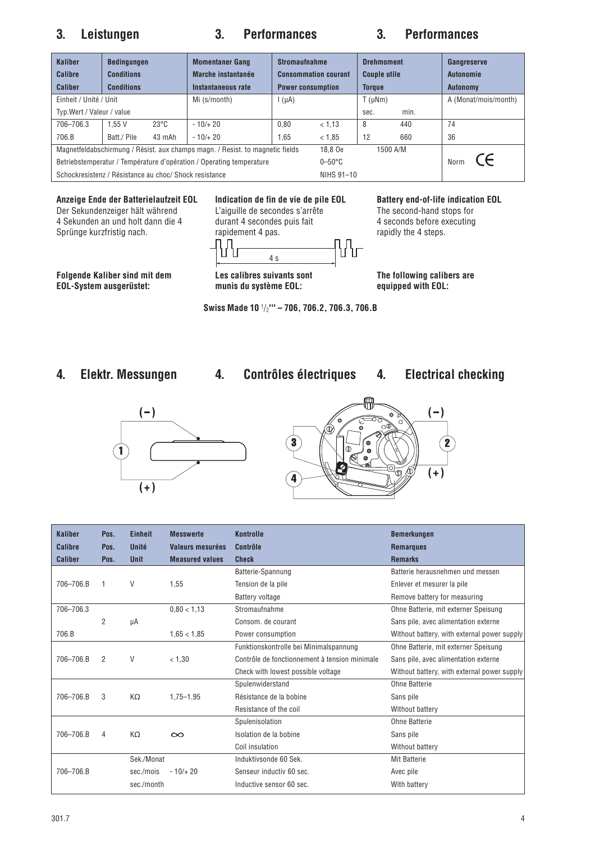### **3. Leistungen 3. Performances 3. Performances**

| <b>Kaliber</b><br>Calibre<br><b>Caliber</b>                                   | <b>Bedingungen</b><br><b>Conditions</b><br><b>Conditions</b> |                | <b>Momentaner Gang</b><br>Marche instantanée<br>Instantaneous rate | <b>Stromaufnahme</b><br><b>Consommation courant</b><br><b>Power consumption</b> |                 | <b>Drehmoment</b><br><b>Couple utile</b><br><b>Torque</b> |          | Gangreserve<br><b>Autonomie</b><br><b>Autonomy</b> |
|-------------------------------------------------------------------------------|--------------------------------------------------------------|----------------|--------------------------------------------------------------------|---------------------------------------------------------------------------------|-----------------|-----------------------------------------------------------|----------|----------------------------------------------------|
| Einheit / Unité / Unit                                                        |                                                              |                | Mi (s/month)                                                       | $I(\mu A)$                                                                      |                 | $T(\mu Nm)$                                               |          | A (Monat/mois/month)                               |
| Typ.Wert / Valeur / value                                                     |                                                              |                |                                                                    |                                                                                 |                 | sec.                                                      | min.     |                                                    |
| 706-706.3                                                                     | 1.55V                                                        | $23^{\circ}$ C | $-10/+20$                                                          | 0.80                                                                            | < 1.13          | 8                                                         | 440      | 74                                                 |
| 706.B                                                                         | Batt./ Pile                                                  | 43 mAh         | $-10/+20$                                                          | 1.65                                                                            | < 1.85          | 12                                                        | 660      | 36                                                 |
| Magnetfeldabschirmung / Résist. aux champs magn. / Resist. to magnetic fields |                                                              |                |                                                                    |                                                                                 | 18.8 Oe         |                                                           | 1500 A/M |                                                    |
| Betriebstemperatur / Température d'opération / Operating temperature          |                                                              |                |                                                                    |                                                                                 | $0-50\degree$ C |                                                           |          | (←<br>Norm                                         |
| Schockresistenz / Résistance au choc/ Shock resistance                        |                                                              |                |                                                                    |                                                                                 | NIHS 91-10      |                                                           |          |                                                    |

### **Anzeige Ende der Batterielaufzeit EOL Indication de fin de vie de pile EOL Battery end-of-life indication EOL**

Folgende Kaliber sind mit dem Les calibres suivants sont The following calibers are<br>
EOL-System ausgerüstet: munis du système EOL: equipped with EOL: **EOL-System ausgerüstet:** 

Der Sekundenzeiger hält während L'aiguille de secondes s'arrête The second-hand stops for 4 Sekunden an und holt dann die 4 durant 4 secondes puis fait 4 seconds before executing<br>
4 Seconds before executing<br>
4 Septinge kurzfristig nach.<br>
4 Seconds before executing<br>
4 Seconds before executing Sprünge kurzfristig nach. rapidement 4 pas. The rapidly the 4 steps. ႮჀႵ



**Swiss Made 10** 1/2**''' – 706, 706.2, 706.3, 706.B**

## **4. Elektr. Messungen 4. Contrôles électriques 4. Electrical checking**





| <b>Kaliber</b> | Pos. | <b>Einheit</b> | <b>Messwerte</b>       | <b>Kontrolle</b>                              | <b>Bemerkungen</b>                          |
|----------------|------|----------------|------------------------|-----------------------------------------------|---------------------------------------------|
| <b>Calibre</b> | Pos. | Unité          | Valeurs mesurées       | <b>Contrôle</b>                               | <b>Remarques</b>                            |
| <b>Caliber</b> | Pos. | <b>Unit</b>    | <b>Measured values</b> | <b>Check</b>                                  | <b>Remarks</b>                              |
|                |      |                |                        | Batterie-Spannung                             | Batterie herausnehmen und messen            |
| 706-706.B      | 1    | V              | 1,55                   | Tension de la pile                            | Enlever et mesurer la pile                  |
|                |      |                |                        | Battery voltage                               | Remove battery for measuring                |
| 706-706.3      |      |                | 0.80 < 1.13            | Stromaufnahme                                 | Ohne Batterie, mit externer Speisung        |
|                | 2    | μA             |                        | Consom, de courant                            | Sans pile, avec alimentation externe        |
| 706.B          |      |                | 1,65 < 1,85            | Power consumption                             | Without battery, with external power supply |
|                |      |                |                        | Funktionskontrolle bei Minimalspannung        | Ohne Batterie, mit externer Speisung        |
| 706-706.B      | 2    | V              | < 1.30                 | Contrôle de fonctionnement à tension minimale | Sans pile, avec alimentation externe        |
|                |      |                |                        | Check with lowest possible voltage            | Without battery, with external power supply |
|                |      |                |                        | Spulenwiderstand                              | Ohne Batterie                               |
| 706-706.B      | 3    | KΩ             | $1,75 - 1,95$          | Résistance de la bobine                       | Sans pile                                   |
|                |      |                |                        | Resistance of the coil                        | Without battery                             |
|                |      |                |                        | Spulenisolation                               | Ohne Batterie                               |
| 706-706.B      | 4    | KΩ             | $\infty$               | Isolation de la bobine                        | Sans pile                                   |
|                |      |                |                        | Coil insulation                               | Without battery                             |
|                |      | Sek./Monat     |                        | Induktivsonde 60 Sek.                         | <b>Mit Batterie</b>                         |
| 706-706.B      |      | sec./mois      | $-10/+20$              | Senseur inductiv 60 sec.                      | Avec pile                                   |
|                |      | sec./month     |                        | Inductive sensor 60 sec.                      | With battery                                |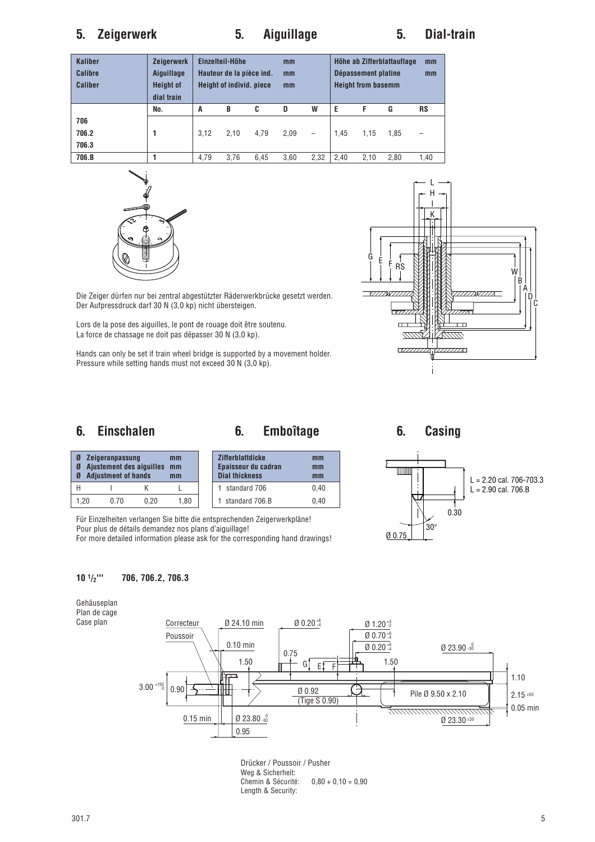# **5. Zeigerwerk 5. Aiguillage 5. Dial-train**

| <b>Kaliber</b><br><b>Calibre</b><br><b>Caliber</b> | <b>Zeigerwerk</b><br>Aiguillage<br><b>Height of</b><br>dial train | Einzelteil-Höhe<br>Hauteur de la pièce ind.<br><b>Height of individ. piece</b> |      |      | mm<br>mm<br>mm |      |      | Dépassement platine<br><b>Height from basemm</b> | Höhe ab Zifferblattauflage | mm<br>mm  |
|----------------------------------------------------|-------------------------------------------------------------------|--------------------------------------------------------------------------------|------|------|----------------|------|------|--------------------------------------------------|----------------------------|-----------|
|                                                    | No.                                                               | A                                                                              | B    | C    | D              | W    | Е    | F                                                | G                          | <b>RS</b> |
| 706<br>706.2<br>706.3                              |                                                                   | 3.12                                                                           | 2.10 | 4.79 | 2,09           | -    | 1.45 | 1.15                                             | 1.85                       | -         |
| 706.B                                              |                                                                   | 4.79                                                                           | 3.76 | 6.45 | 3.60           | 2,32 | 2.40 | 2.10                                             | 2.80                       | 1,40      |





Die Zeiger dürfen nur bei zentral abgestützter Räderwerkbrücke gesetzt werden. Der Aufpressdruck darf 30 N (3,0 kp) nicht übersteigen.

Lors de la pose des aiguilles, le pont de rouage doit être soutenu. La force de chassage ne doit pas dépasser 30 N (3,0 kp).

Hands can only be set if train wheel bridge is supported by a movement holder. Pressure while setting hands must not exceed 30 N (3,0 kp).

# **6. Einschalen 6. Emboîtage 6. Casing**

**Zifferblattdicke mm Epaisseur du cadran mm Dial thickness mm** 1 standard 706 0,40 1 standard 706.B 0,40



# HI KL 1,20 0.70 0,20 1,80

**Ø Zeigeranpassung mm**<br>**Ø Ajustement des aiquilles mm Ø Ajustement des aiguilles mm Ø Adjustment of hands mm**

Für Einzelheiten verlangen Sie bitte die entsprechenden Zeigerwerkpläne! Pour plus de détails demandez nos plans d'aiguillage! For more detailed information please ask for the corresponding hand drawings!

**10 1/2''' 706, 706.2, 706.3**





Drücker / Poussoir / Pusher Weg & Sicherheit: Chemin & Sécurité: 0,80 + 0,10 = 0,90 Length & Security: